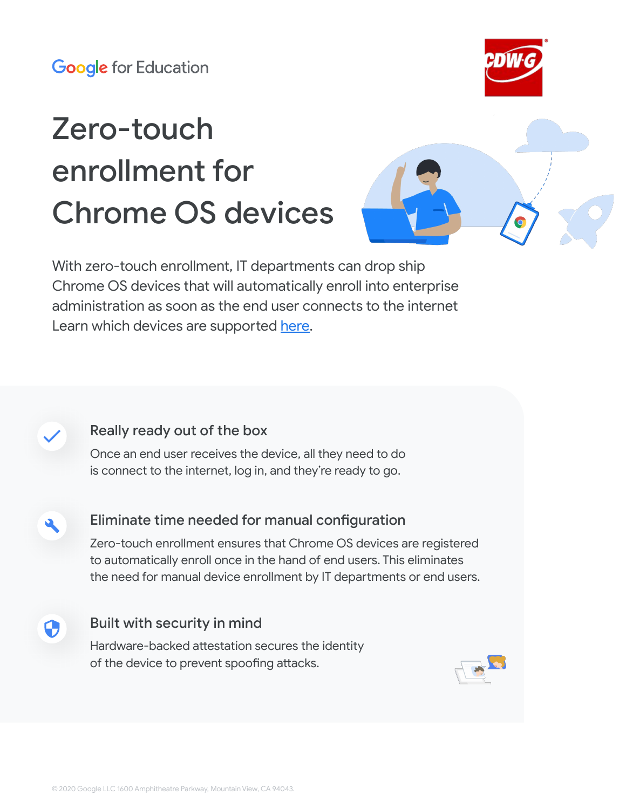# Zero-touch enrollment for Chrome OS devices





With zero-touch enrollment, IT departments can drop ship Chrome OS devices that will automatically enroll into enterprise administration as soon as the end user connects to the internet Learn which devices are supported [here.](https://support.google.com/chrome/a/answer/10130175)

### Really ready out of the box

Q.

Once an end user receives the device, all they need to do is connect to the internet, log in, and they're ready to go.

Eliminate time needed for manual configuration

Zero-touch enrollment ensures that Chrome OS devices are registered to automatically enroll once in the hand of end users. This eliminates the need for manual device enrollment by IT departments or end users.

Built with security in mind C) Hardware-backed attestation secures the identity of the device to prevent spoofing attacks.